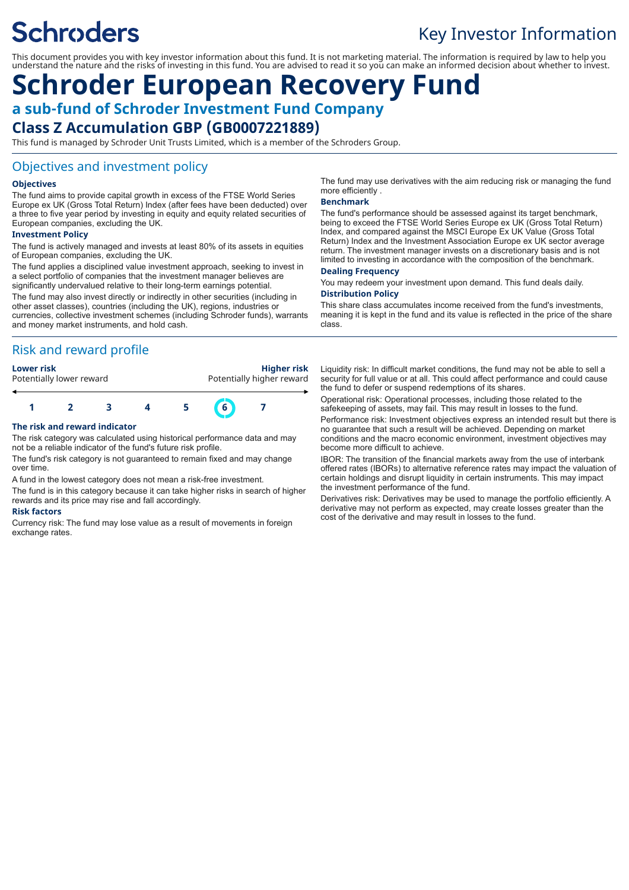# **Schroders**

## Key Investor Information

This document provides you with key investor information about this fund. It is not marketing material. The information is required by law to help you understand the nature and the risks of investing in this fund. You are advised to read it so you can make an informed decision about whether to invest.

## **Schroder European Recovery Fund a sub-fund of Schroder Investment Fund Company**

## **Class Z Accumulation GBP (GB0007221889)**

This fund is managed by Schroder Unit Trusts Limited, which is a member of the Schroders Group.

### Objectives and investment policy

#### **Objectives**

The fund aims to provide capital growth in excess of the FTSE World Series Europe ex UK (Gross Total Return) Index (after fees have been deducted) over a three to five year period by investing in equity and equity related securities of European companies, excluding the UK.

#### **Investment Policy**

The fund is actively managed and invests at least 80% of its assets in equities of European companies, excluding the UK.

The fund applies a disciplined value investment approach, seeking to invest in a select portfolio of companies that the investment manager believes are significantly undervalued relative to their long-term earnings potential. The fund may also invest directly or indirectly in other securities (including in

other asset classes), countries (including the UK), regions, industries or currencies, collective investment schemes (including Schroder funds), warrants and money market instruments, and hold cash.

## Risk and reward profile

| Lower risk               | <b>Higher risk</b>        |
|--------------------------|---------------------------|
| Potentially lower reward | Potentially higher reward |
|                          |                           |
|                          |                           |

## **The risk and reward indicator**

The risk category was calculated using historical performance data and may not be a reliable indicator of the fund's future risk profile.

**1 2 3 4 5 6 7**

The fund's risk category is not guaranteed to remain fixed and may change over time.

A fund in the lowest category does not mean a risk-free investment.

The fund is in this category because it can take higher risks in search of higher rewards and its price may rise and fall accordingly.

#### **Risk factors**

Currency risk: The fund may lose value as a result of movements in foreign exchange rates

The fund may use derivatives with the aim reducing risk or managing the fund more efficiently .

#### **Benchmark**

The fund's performance should be assessed against its target benchmark, being to exceed the FTSE World Series Europe ex UK (Gross Total Return) Index, and compared against the MSCI Europe Ex UK Value (Gross Total Return) Index and the Investment Association Europe ex UK sector average return. The investment manager invests on a discretionary basis and is not limited to investing in accordance with the composition of the benchmark.

#### **Dealing Frequency**

You may redeem your investment upon demand. This fund deals daily.

#### **Distribution Policy**

This share class accumulates income received from the fund's investments, meaning it is kept in the fund and its value is reflected in the price of the share class.

Liquidity risk: In difficult market conditions, the fund may not be able to sell a security for full value or at all. This could affect performance and could cause the fund to defer or suspend redemptions of its shares.

Operational risk: Operational processes, including those related to the safekeeping of assets, may fail. This may result in losses to the fund.

Performance risk: Investment objectives express an intended result but there is no guarantee that such a result will be achieved. Depending on market conditions and the macro economic environment, investment objectives may become more difficult to achieve.

IBOR: The transition of the financial markets away from the use of interbank offered rates (IBORs) to alternative reference rates may impact the valuation of certain holdings and disrupt liquidity in certain instruments. This may impact the investment performance of the fund.

Derivatives risk: Derivatives may be used to manage the portfolio efficiently. A derivative may not perform as expected, may create losses greater than the cost of the derivative and may result in losses to the fund.